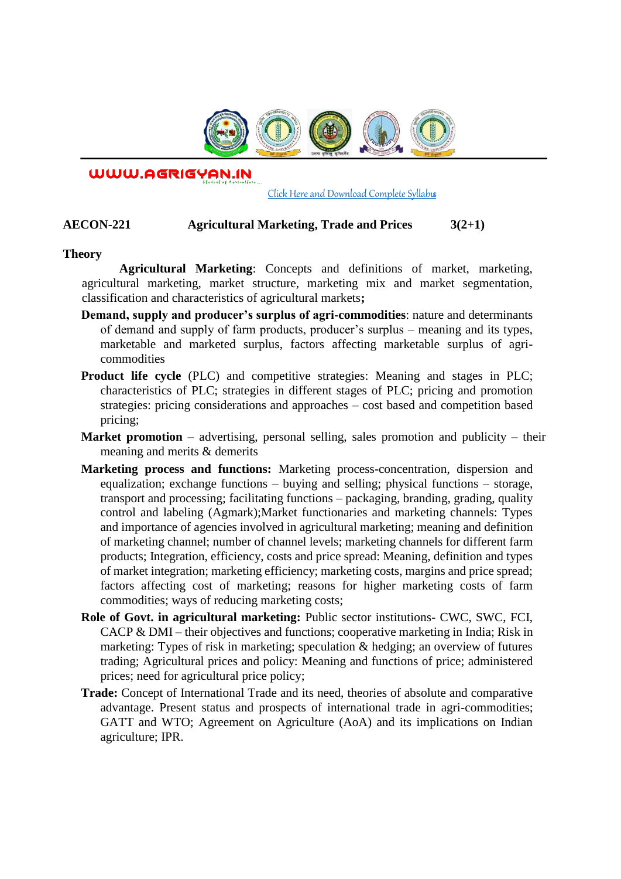

WWW.AGRIGYAN.IN

#### [Click Here and Download Complete Syllabus](http://agrigyan.in/)

## **AECON-221 Agricultural Marketing, Trade and Prices 3(2+1)**

### **Theory**

 $\overline{a}$ 

**Agricultural Marketing**: Concepts and definitions of market, marketing, agricultural marketing, market structure, marketing mix and market segmentation, classification and characteristics of agricultural markets**;** 

- **Demand, supply and producer's surplus of agri-commodities**: nature and determinants of demand and supply of farm products, producer's surplus – meaning and its types, marketable and marketed surplus, factors affecting marketable surplus of agricommodities
- **Product life cycle** (PLC) and competitive strategies: Meaning and stages in PLC; characteristics of PLC; strategies in different stages of PLC; pricing and promotion strategies: pricing considerations and approaches – cost based and competition based pricing;
- **Market promotion** advertising, personal selling, sales promotion and publicity their meaning and merits & demerits
- **Marketing process and functions:** Marketing process-concentration, dispersion and equalization; exchange functions – buying and selling; physical functions – storage, transport and processing; facilitating functions – packaging, branding, grading, quality control and labeling (Agmark);Market functionaries and marketing channels: Types and importance of agencies involved in agricultural marketing; meaning and definition of marketing channel; number of channel levels; marketing channels for different farm products; Integration, efficiency, costs and price spread: Meaning, definition and types of market integration; marketing efficiency; marketing costs, margins and price spread; factors affecting cost of marketing; reasons for higher marketing costs of farm commodities; ways of reducing marketing costs;
- **Role of Govt. in agricultural marketing:** Public sector institutions- CWC, SWC, FCI, CACP & DMI – their objectives and functions; cooperative marketing in India; Risk in marketing: Types of risk in marketing; speculation & hedging; an overview of futures trading; Agricultural prices and policy: Meaning and functions of price; administered prices; need for agricultural price policy;
- **Trade:** Concept of International Trade and its need, theories of absolute and comparative advantage. Present status and prospects of international trade in agri-commodities; GATT and WTO; Agreement on Agriculture (AoA) and its implications on Indian agriculture; IPR.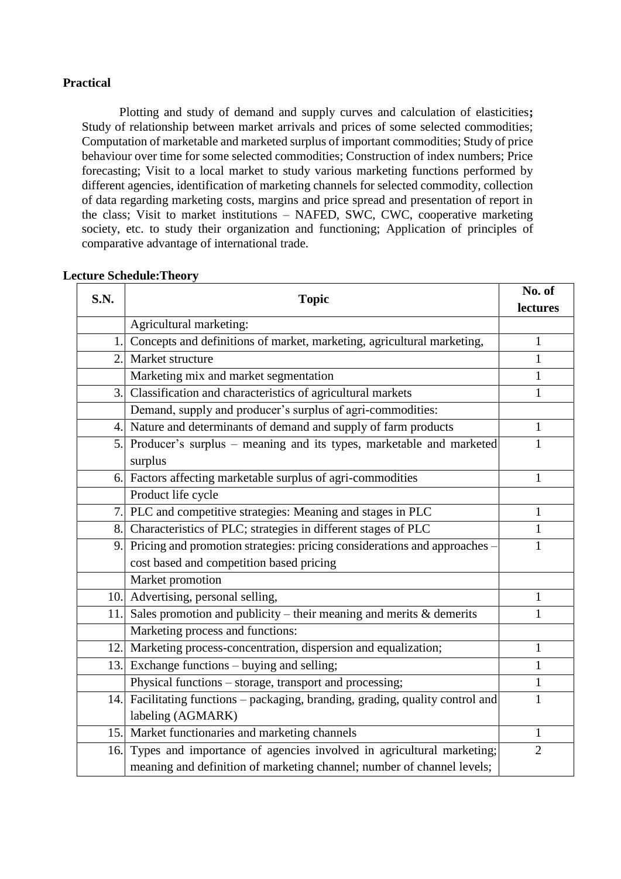# **Practical**

Plotting and study of demand and supply curves and calculation of elasticities**;** Study of relationship between market arrivals and prices of some selected commodities; Computation of marketable and marketed surplus of important commodities; Study of price behaviour over time for some selected commodities; Construction of index numbers; Price forecasting; Visit to a local market to study various marketing functions performed by different agencies, identification of marketing channels for selected commodity, collection of data regarding marketing costs, margins and price spread and presentation of report in the class; Visit to market institutions – NAFED, SWC, CWC, cooperative marketing society, etc. to study their organization and functioning; Application of principles of comparative advantage of international trade.

| S.N.         | <b>Topic</b>                                                                   | No. of         |
|--------------|--------------------------------------------------------------------------------|----------------|
|              |                                                                                | lectures       |
|              | Agricultural marketing:                                                        |                |
| $\mathbf{1}$ | Concepts and definitions of market, marketing, agricultural marketing,         | $\mathbf{1}$   |
| 2.           | Market structure                                                               | 1              |
|              | Marketing mix and market segmentation                                          | 1              |
| 3.           | Classification and characteristics of agricultural markets                     | 1              |
|              | Demand, supply and producer's surplus of agri-commodities:                     |                |
|              | 4. Nature and determinants of demand and supply of farm products               | 1              |
| 5.           | Producer's surplus - meaning and its types, marketable and marketed            | $\mathbf{1}$   |
|              | surplus                                                                        |                |
|              | 6. Factors affecting marketable surplus of agri-commodities                    | $\mathbf{1}$   |
|              | Product life cycle                                                             |                |
|              | 7. PLC and competitive strategies: Meaning and stages in PLC                   | $\mathbf{1}$   |
|              | 8. Characteristics of PLC; strategies in different stages of PLC               | $\mathbf{1}$   |
| 9.1          | Pricing and promotion strategies: pricing considerations and approaches -      | $\mathbf{1}$   |
|              | cost based and competition based pricing                                       |                |
|              | Market promotion                                                               |                |
|              | 10. Advertising, personal selling,                                             | 1              |
| 11           | Sales promotion and publicity – their meaning and merits $\&$ demerits         | 1              |
|              | Marketing process and functions:                                               |                |
|              | 12. Marketing process-concentration, dispersion and equalization;              | $\mathbf{1}$   |
| 13.          | Exchange functions - buying and selling;                                       | 1              |
|              | Physical functions - storage, transport and processing;                        | $\mathbf{1}$   |
|              | 14. Facilitating functions – packaging, branding, grading, quality control and | $\mathbf{1}$   |
|              | labeling (AGMARK)                                                              |                |
| 15.          | Market functionaries and marketing channels                                    | $\mathbf{1}$   |
| 16.          | Types and importance of agencies involved in agricultural marketing;           | $\overline{2}$ |
|              | meaning and definition of marketing channel; number of channel levels;         |                |

## **Lecture Schedule:Theory**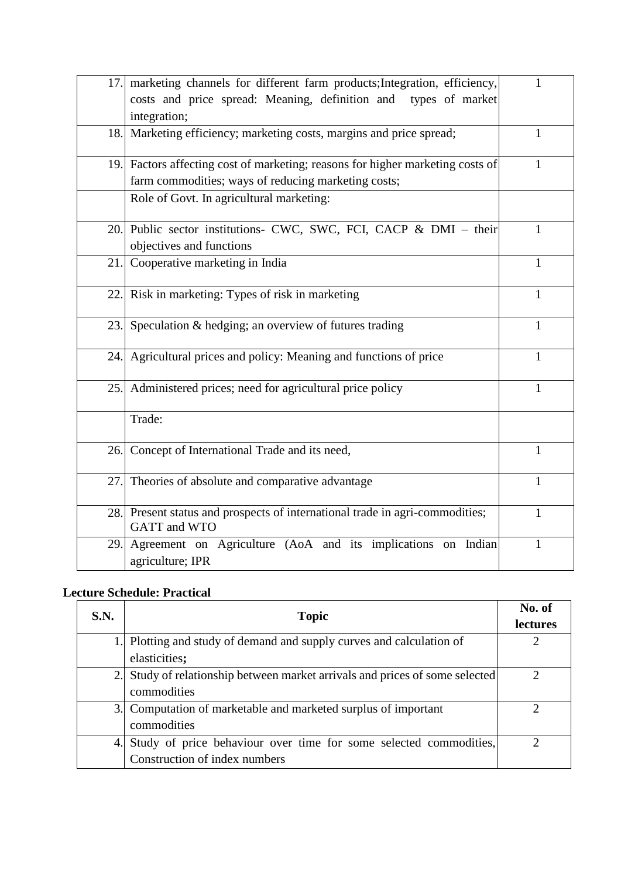| 17. | marketing channels for different farm products; Integration, efficiency,<br>costs and price spread: Meaning, definition and types of market<br>integration; | 1            |
|-----|-------------------------------------------------------------------------------------------------------------------------------------------------------------|--------------|
| 18. | Marketing efficiency; marketing costs, margins and price spread;                                                                                            | 1            |
| 19. | Factors affecting cost of marketing; reasons for higher marketing costs of<br>farm commodities; ways of reducing marketing costs;                           | 1            |
|     | Role of Govt. In agricultural marketing:                                                                                                                    |              |
| 20. | Public sector institutions- CWC, SWC, FCI, CACP & DMI - their<br>objectives and functions                                                                   | $\mathbf{1}$ |
| 21. | Cooperative marketing in India                                                                                                                              | $\mathbf{1}$ |
| 22. | Risk in marketing: Types of risk in marketing                                                                                                               | 1            |
| 23. | Speculation & hedging; an overview of futures trading                                                                                                       | $\mathbf{1}$ |
| 24. | Agricultural prices and policy: Meaning and functions of price                                                                                              | $\mathbf{1}$ |
| 25. | Administered prices; need for agricultural price policy                                                                                                     | 1            |
|     | Trade:                                                                                                                                                      |              |
| 26. | Concept of International Trade and its need,                                                                                                                | 1            |
| 27. | Theories of absolute and comparative advantage                                                                                                              | 1            |
| 28. | Present status and prospects of international trade in agri-commodities;<br>GATT and WTO                                                                    | $\mathbf{1}$ |
| 29. | Agreement on Agriculture (AoA and its implications on Indian<br>agriculture; IPR                                                                            | 1            |

# **Lecture Schedule: Practical**

| S.N. | <b>Topic</b>                                                              | No. of<br>lectures |
|------|---------------------------------------------------------------------------|--------------------|
|      | Plotting and study of demand and supply curves and calculation of         |                    |
|      | elasticities;                                                             |                    |
|      | Study of relationship between market arrivals and prices of some selected |                    |
|      | commodities                                                               |                    |
| 3.   | Computation of marketable and marketed surplus of important               |                    |
|      | commodities                                                               |                    |
| 4.   | Study of price behaviour over time for some selected commodities,         |                    |
|      | Construction of index numbers                                             |                    |